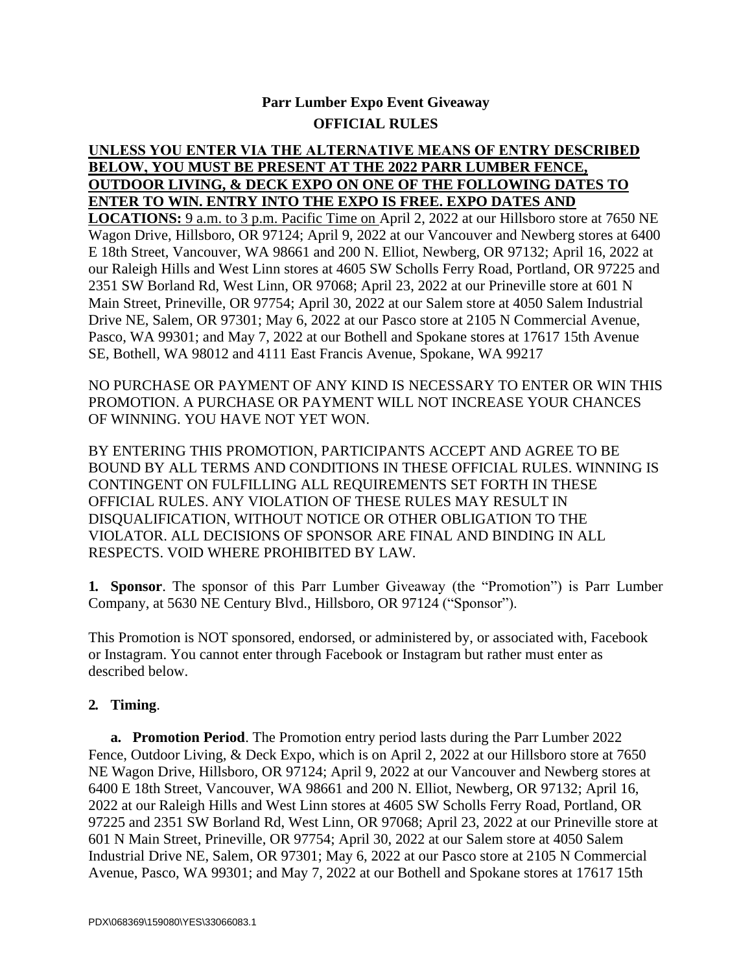# **Parr Lumber Expo Event Giveaway OFFICIAL RULES**

## **UNLESS YOU ENTER VIA THE ALTERNATIVE MEANS OF ENTRY DESCRIBED BELOW, YOU MUST BE PRESENT AT THE 2022 PARR LUMBER FENCE, OUTDOOR LIVING, & DECK EXPO ON ONE OF THE FOLLOWING DATES TO ENTER TO WIN. ENTRY INTO THE EXPO IS FREE. EXPO DATES AND**

**LOCATIONS:** 9 a.m. to 3 p.m. Pacific Time on April 2, 2022 at our Hillsboro store at 7650 NE Wagon Drive, Hillsboro, OR 97124; April 9, 2022 at our Vancouver and Newberg stores at 6400 E 18th Street, Vancouver, WA 98661 and 200 N. Elliot, Newberg, OR 97132; April 16, 2022 at our Raleigh Hills and West Linn stores at 4605 SW Scholls Ferry Road, Portland, OR 97225 and 2351 SW Borland Rd, West Linn, OR 97068; April 23, 2022 at our Prineville store at 601 N Main Street, Prineville, OR 97754; April 30, 2022 at our Salem store at 4050 Salem Industrial Drive NE, Salem, OR 97301; May 6, 2022 at our Pasco store at 2105 N Commercial Avenue, Pasco, WA 99301; and May 7, 2022 at our Bothell and Spokane stores at 17617 15th Avenue SE, Bothell, WA 98012 and 4111 East Francis Avenue, Spokane, WA 99217

NO PURCHASE OR PAYMENT OF ANY KIND IS NECESSARY TO ENTER OR WIN THIS PROMOTION. A PURCHASE OR PAYMENT WILL NOT INCREASE YOUR CHANCES OF WINNING. YOU HAVE NOT YET WON.

BY ENTERING THIS PROMOTION, PARTICIPANTS ACCEPT AND AGREE TO BE BOUND BY ALL TERMS AND CONDITIONS IN THESE OFFICIAL RULES. WINNING IS CONTINGENT ON FULFILLING ALL REQUIREMENTS SET FORTH IN THESE OFFICIAL RULES. ANY VIOLATION OF THESE RULES MAY RESULT IN DISQUALIFICATION, WITHOUT NOTICE OR OTHER OBLIGATION TO THE VIOLATOR. ALL DECISIONS OF SPONSOR ARE FINAL AND BINDING IN ALL RESPECTS. VOID WHERE PROHIBITED BY LAW.

**1. Sponsor**. The sponsor of this Parr Lumber Giveaway (the "Promotion") is Parr Lumber Company, at 5630 NE Century Blvd., Hillsboro, OR 97124 ("Sponsor").

This Promotion is NOT sponsored, endorsed, or administered by, or associated with, Facebook or Instagram. You cannot enter through Facebook or Instagram but rather must enter as described below.

### **2. Timing**.

**a. Promotion Period**. The Promotion entry period lasts during the Parr Lumber 2022 Fence, Outdoor Living, & Deck Expo, which is on April 2, 2022 at our Hillsboro store at 7650 NE Wagon Drive, Hillsboro, OR 97124; April 9, 2022 at our Vancouver and Newberg stores at 6400 E 18th Street, Vancouver, WA 98661 and 200 N. Elliot, Newberg, OR 97132; April 16, 2022 at our Raleigh Hills and West Linn stores at 4605 SW Scholls Ferry Road, Portland, OR 97225 and 2351 SW Borland Rd, West Linn, OR 97068; April 23, 2022 at our Prineville store at 601 N Main Street, Prineville, OR 97754; April 30, 2022 at our Salem store at 4050 Salem Industrial Drive NE, Salem, OR 97301; May 6, 2022 at our Pasco store at 2105 N Commercial Avenue, Pasco, WA 99301; and May 7, 2022 at our Bothell and Spokane stores at 17617 15th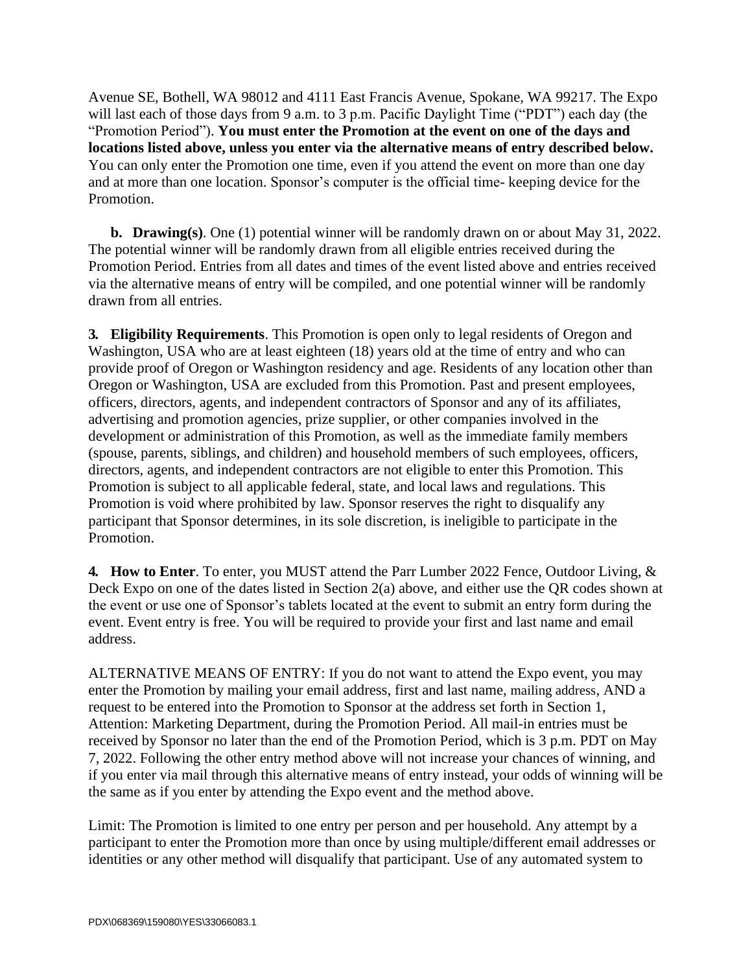Avenue SE, Bothell, WA 98012 and 4111 East Francis Avenue, Spokane, WA 99217. The Expo will last each of those days from 9 a.m. to 3 p.m. Pacific Daylight Time ("PDT") each day (the "Promotion Period"). **You must enter the Promotion at the event on one of the days and locations listed above, unless you enter via the alternative means of entry described below.** You can only enter the Promotion one time, even if you attend the event on more than one day and at more than one location. Sponsor's computer is the official time- keeping device for the Promotion.

**b. Drawing(s)**. One (1) potential winner will be randomly drawn on or about May 31, 2022. The potential winner will be randomly drawn from all eligible entries received during the Promotion Period. Entries from all dates and times of the event listed above and entries received via the alternative means of entry will be compiled, and one potential winner will be randomly drawn from all entries.

**3. Eligibility Requirements**. This Promotion is open only to legal residents of Oregon and Washington, USA who are at least eighteen (18) years old at the time of entry and who can provide proof of Oregon or Washington residency and age. Residents of any location other than Oregon or Washington, USA are excluded from this Promotion. Past and present employees, officers, directors, agents, and independent contractors of Sponsor and any of its affiliates, advertising and promotion agencies, prize supplier, or other companies involved in the development or administration of this Promotion, as well as the immediate family members (spouse, parents, siblings, and children) and household members of such employees, officers, directors, agents, and independent contractors are not eligible to enter this Promotion. This Promotion is subject to all applicable federal, state, and local laws and regulations. This Promotion is void where prohibited by law. Sponsor reserves the right to disqualify any participant that Sponsor determines, in its sole discretion, is ineligible to participate in the Promotion.

**4. How to Enter**. To enter, you MUST attend the Parr Lumber 2022 Fence, Outdoor Living, & Deck Expo on one of the dates listed in Section 2(a) above, and either use the QR codes shown at the event or use one of Sponsor's tablets located at the event to submit an entry form during the event. Event entry is free. You will be required to provide your first and last name and email address.

ALTERNATIVE MEANS OF ENTRY: If you do not want to attend the Expo event, you may enter the Promotion by mailing your email address, first and last name, mailing address, AND a request to be entered into the Promotion to Sponsor at the address set forth in Section 1, Attention: Marketing Department, during the Promotion Period. All mail-in entries must be received by Sponsor no later than the end of the Promotion Period, which is 3 p.m. PDT on May 7, 2022. Following the other entry method above will not increase your chances of winning, and if you enter via mail through this alternative means of entry instead, your odds of winning will be the same as if you enter by attending the Expo event and the method above.

Limit: The Promotion is limited to one entry per person and per household. Any attempt by a participant to enter the Promotion more than once by using multiple/different email addresses or identities or any other method will disqualify that participant. Use of any automated system to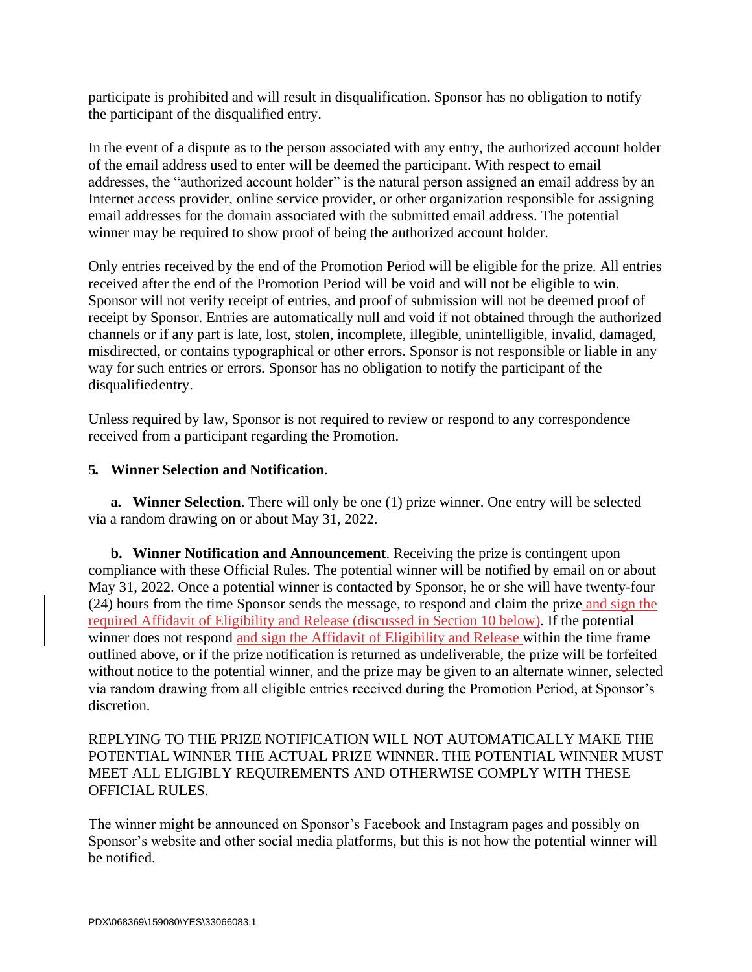participate is prohibited and will result in disqualification. Sponsor has no obligation to notify the participant of the disqualified entry.

In the event of a dispute as to the person associated with any entry, the authorized account holder of the email address used to enter will be deemed the participant. With respect to email addresses, the "authorized account holder" is the natural person assigned an email address by an Internet access provider, online service provider, or other organization responsible for assigning email addresses for the domain associated with the submitted email address. The potential winner may be required to show proof of being the authorized account holder.

Only entries received by the end of the Promotion Period will be eligible for the prize. All entries received after the end of the Promotion Period will be void and will not be eligible to win. Sponsor will not verify receipt of entries, and proof of submission will not be deemed proof of receipt by Sponsor. Entries are automatically null and void if not obtained through the authorized channels or if any part is late, lost, stolen, incomplete, illegible, unintelligible, invalid, damaged, misdirected, or contains typographical or other errors. Sponsor is not responsible or liable in any way for such entries or errors. Sponsor has no obligation to notify the participant of the disqualifiedentry.

Unless required by law, Sponsor is not required to review or respond to any correspondence received from a participant regarding the Promotion.

#### **5. Winner Selection and Notification**.

**a. Winner Selection**. There will only be one (1) prize winner. One entry will be selected via a random drawing on or about May 31, 2022.

**b. Winner Notification and Announcement**. Receiving the prize is contingent upon compliance with these Official Rules. The potential winner will be notified by email on or about May 31, 2022. Once a potential winner is contacted by Sponsor, he or she will have twenty-four (24) hours from the time Sponsor sends the message, to respond and claim the prize and sign the required Affidavit of Eligibility and Release (discussed in Section 10 below). If the potential winner does not respond and sign the Affidavit of Eligibility and Release within the time frame outlined above, or if the prize notification is returned as undeliverable, the prize will be forfeited without notice to the potential winner, and the prize may be given to an alternate winner, selected via random drawing from all eligible entries received during the Promotion Period, at Sponsor's discretion.

#### REPLYING TO THE PRIZE NOTIFICATION WILL NOT AUTOMATICALLY MAKE THE POTENTIAL WINNER THE ACTUAL PRIZE WINNER. THE POTENTIAL WINNER MUST MEET ALL ELIGIBLY REQUIREMENTS AND OTHERWISE COMPLY WITH THESE OFFICIAL RULES.

The winner might be announced on Sponsor's Facebook and Instagram pages and possibly on Sponsor's website and other social media platforms, but this is not how the potential winner will be notified.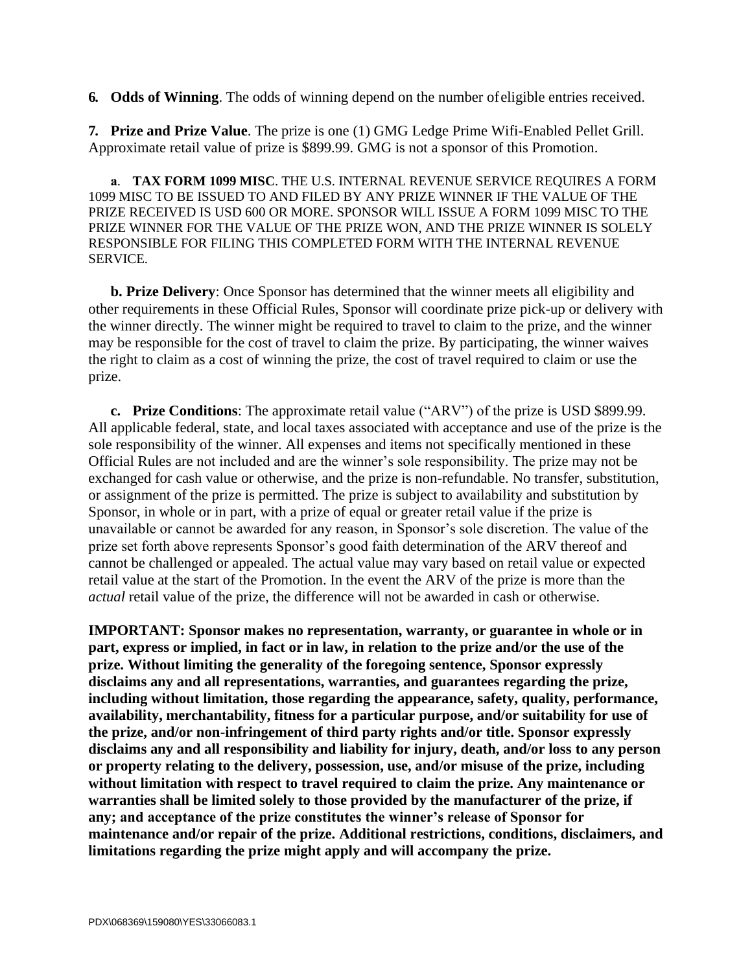**6. Odds of Winning**. The odds of winning depend on the number ofeligible entries received.

**7. Prize and Prize Value**. The prize is one (1) GMG Ledge Prime Wifi-Enabled Pellet Grill. Approximate retail value of prize is \$899.99. GMG is not a sponsor of this Promotion.

**a**. **TAX FORM 1099 MISC**. THE U.S. INTERNAL REVENUE SERVICE REQUIRES A FORM 1099 MISC TO BE ISSUED TO AND FILED BY ANY PRIZE WINNER IF THE VALUE OF THE PRIZE RECEIVED IS USD 600 OR MORE. SPONSOR WILL ISSUE A FORM 1099 MISC TO THE PRIZE WINNER FOR THE VALUE OF THE PRIZE WON, AND THE PRIZE WINNER IS SOLELY RESPONSIBLE FOR FILING THIS COMPLETED FORM WITH THE INTERNAL REVENUE SERVICE.

**b. Prize Delivery**: Once Sponsor has determined that the winner meets all eligibility and other requirements in these Official Rules, Sponsor will coordinate prize pick-up or delivery with the winner directly. The winner might be required to travel to claim to the prize, and the winner may be responsible for the cost of travel to claim the prize. By participating, the winner waives the right to claim as a cost of winning the prize, the cost of travel required to claim or use the prize.

**c. Prize Conditions**: The approximate retail value ("ARV") of the prize is USD \$899.99. All applicable federal, state, and local taxes associated with acceptance and use of the prize is the sole responsibility of the winner. All expenses and items not specifically mentioned in these Official Rules are not included and are the winner's sole responsibility. The prize may not be exchanged for cash value or otherwise, and the prize is non-refundable. No transfer, substitution, or assignment of the prize is permitted. The prize is subject to availability and substitution by Sponsor, in whole or in part, with a prize of equal or greater retail value if the prize is unavailable or cannot be awarded for any reason, in Sponsor's sole discretion. The value of the prize set forth above represents Sponsor's good faith determination of the ARV thereof and cannot be challenged or appealed. The actual value may vary based on retail value or expected retail value at the start of the Promotion. In the event the ARV of the prize is more than the *actual* retail value of the prize, the difference will not be awarded in cash or otherwise.

**IMPORTANT: Sponsor makes no representation, warranty, or guarantee in whole or in part, express or implied, in fact or in law, in relation to the prize and/or the use of the prize. Without limiting the generality of the foregoing sentence, Sponsor expressly disclaims any and all representations, warranties, and guarantees regarding the prize, including without limitation, those regarding the appearance, safety, quality, performance, availability, merchantability, fitness for a particular purpose, and/or suitability for use of the prize, and/or non-infringement of third party rights and/or title. Sponsor expressly disclaims any and all responsibility and liability for injury, death, and/or loss to any person or property relating to the delivery, possession, use, and/or misuse of the prize, including without limitation with respect to travel required to claim the prize. Any maintenance or warranties shall be limited solely to those provided by the manufacturer of the prize, if any; and acceptance of the prize constitutes the winner's release of Sponsor for maintenance and/or repair of the prize. Additional restrictions, conditions, disclaimers, and limitations regarding the prize might apply and will accompany the prize.**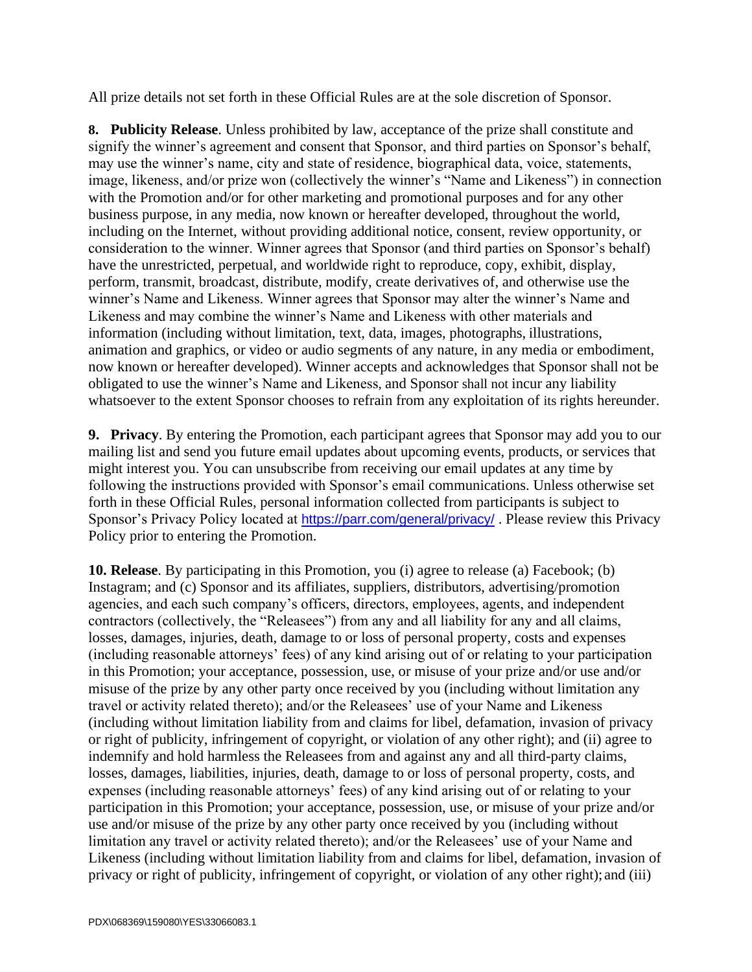All prize details not set forth in these Official Rules are at the sole discretion of Sponsor.

**8. Publicity Release**. Unless prohibited by law, acceptance of the prize shall constitute and signify the winner's agreement and consent that Sponsor, and third parties on Sponsor's behalf, may use the winner's name, city and state of residence, biographical data, voice, statements, image, likeness, and/or prize won (collectively the winner's "Name and Likeness") in connection with the Promotion and/or for other marketing and promotional purposes and for any other business purpose, in any media, now known or hereafter developed, throughout the world, including on the Internet, without providing additional notice, consent, review opportunity, or consideration to the winner. Winner agrees that Sponsor (and third parties on Sponsor's behalf) have the unrestricted, perpetual, and worldwide right to reproduce, copy, exhibit, display, perform, transmit, broadcast, distribute, modify, create derivatives of, and otherwise use the winner's Name and Likeness. Winner agrees that Sponsor may alter the winner's Name and Likeness and may combine the winner's Name and Likeness with other materials and information (including without limitation, text, data, images, photographs, illustrations, animation and graphics, or video or audio segments of any nature, in any media or embodiment, now known or hereafter developed). Winner accepts and acknowledges that Sponsor shall not be obligated to use the winner's Name and Likeness, and Sponsor shall not incur any liability whatsoever to the extent Sponsor chooses to refrain from any exploitation of its rights hereunder.

**9. Privacy**. By entering the Promotion, each participant agrees that Sponsor may add you to our mailing list and send you future email updates about upcoming events, products, or services that might interest you. You can unsubscribe from receiving our email updates at any time by following the instructions provided with Sponsor's email communications. Unless otherwise set forth in these Official Rules, personal information collected from participants is subject to Sponsor's Privacy Policy located at <https://parr.com/general/privacy/> . Please review this Privacy Policy prior to entering the Promotion.

**10. Release**. By participating in this Promotion, you (i) agree to release (a) Facebook; (b) Instagram; and (c) Sponsor and its affiliates, suppliers, distributors, advertising/promotion agencies, and each such company's officers, directors, employees, agents, and independent contractors (collectively, the "Releasees") from any and all liability for any and all claims, losses, damages, injuries, death, damage to or loss of personal property, costs and expenses (including reasonable attorneys' fees) of any kind arising out of or relating to your participation in this Promotion; your acceptance, possession, use, or misuse of your prize and/or use and/or misuse of the prize by any other party once received by you (including without limitation any travel or activity related thereto); and/or the Releasees' use of your Name and Likeness (including without limitation liability from and claims for libel, defamation, invasion of privacy or right of publicity, infringement of copyright, or violation of any other right); and (ii) agree to indemnify and hold harmless the Releasees from and against any and all third-party claims, losses, damages, liabilities, injuries, death, damage to or loss of personal property, costs, and expenses (including reasonable attorneys' fees) of any kind arising out of or relating to your participation in this Promotion; your acceptance, possession, use, or misuse of your prize and/or use and/or misuse of the prize by any other party once received by you (including without limitation any travel or activity related thereto); and/or the Releasees' use of your Name and Likeness (including without limitation liability from and claims for libel, defamation, invasion of privacy or right of publicity, infringement of copyright, or violation of any other right); and (iii)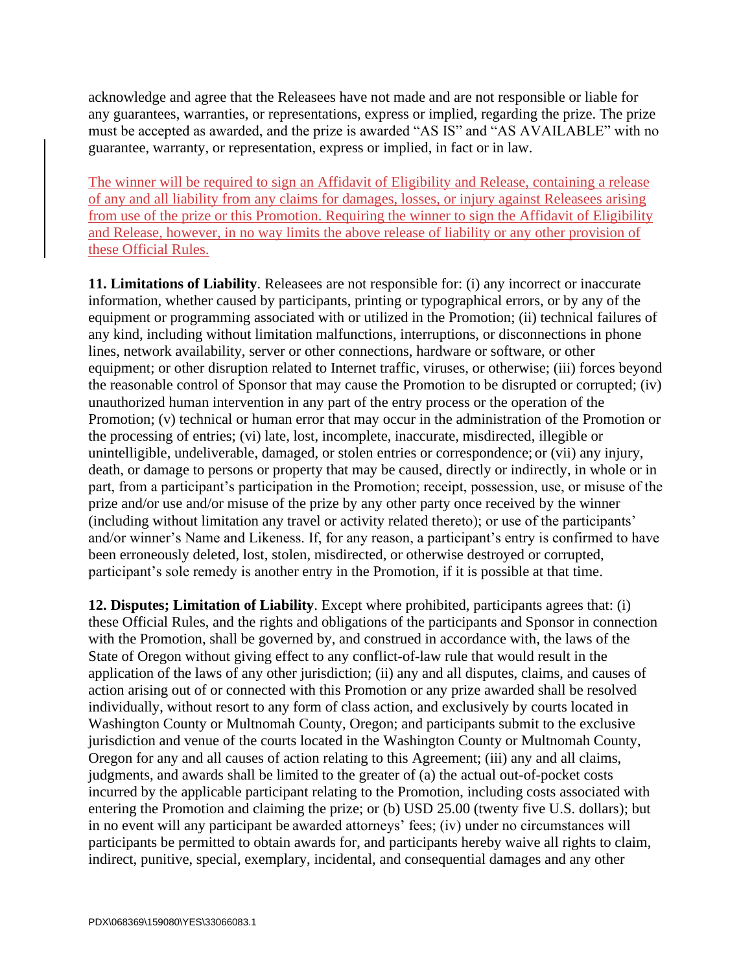acknowledge and agree that the Releasees have not made and are not responsible or liable for any guarantees, warranties, or representations, express or implied, regarding the prize. The prize must be accepted as awarded, and the prize is awarded "AS IS" and "AS AVAILABLE" with no guarantee, warranty, or representation, express or implied, in fact or in law.

The winner will be required to sign an Affidavit of Eligibility and Release, containing a release of any and all liability from any claims for damages, losses, or injury against Releasees arising from use of the prize or this Promotion. Requiring the winner to sign the Affidavit of Eligibility and Release, however, in no way limits the above release of liability or any other provision of these Official Rules.

**11. Limitations of Liability**. Releasees are not responsible for: (i) any incorrect or inaccurate information, whether caused by participants, printing or typographical errors, or by any of the equipment or programming associated with or utilized in the Promotion; (ii) technical failures of any kind, including without limitation malfunctions, interruptions, or disconnections in phone lines, network availability, server or other connections, hardware or software, or other equipment; or other disruption related to Internet traffic, viruses, or otherwise; (iii) forces beyond the reasonable control of Sponsor that may cause the Promotion to be disrupted or corrupted; (iv) unauthorized human intervention in any part of the entry process or the operation of the Promotion; (v) technical or human error that may occur in the administration of the Promotion or the processing of entries; (vi) late, lost, incomplete, inaccurate, misdirected, illegible or unintelligible, undeliverable, damaged, or stolen entries or correspondence; or (vii) any injury, death, or damage to persons or property that may be caused, directly or indirectly, in whole or in part, from a participant's participation in the Promotion; receipt, possession, use, or misuse of the prize and/or use and/or misuse of the prize by any other party once received by the winner (including without limitation any travel or activity related thereto); or use of the participants' and/or winner's Name and Likeness. If, for any reason, a participant's entry is confirmed to have been erroneously deleted, lost, stolen, misdirected, or otherwise destroyed or corrupted, participant's sole remedy is another entry in the Promotion, if it is possible at that time.

**12. Disputes; Limitation of Liability**. Except where prohibited, participants agrees that: (i) these Official Rules, and the rights and obligations of the participants and Sponsor in connection with the Promotion, shall be governed by, and construed in accordance with, the laws of the State of Oregon without giving effect to any conflict-of-law rule that would result in the application of the laws of any other jurisdiction; (ii) any and all disputes, claims, and causes of action arising out of or connected with this Promotion or any prize awarded shall be resolved individually, without resort to any form of class action, and exclusively by courts located in Washington County or Multnomah County, Oregon; and participants submit to the exclusive jurisdiction and venue of the courts located in the Washington County or Multnomah County, Oregon for any and all causes of action relating to this Agreement; (iii) any and all claims, judgments, and awards shall be limited to the greater of (a) the actual out-of-pocket costs incurred by the applicable participant relating to the Promotion, including costs associated with entering the Promotion and claiming the prize; or (b) USD 25.00 (twenty five U.S. dollars); but in no event will any participant be awarded attorneys' fees; (iv) under no circumstances will participants be permitted to obtain awards for, and participants hereby waive all rights to claim, indirect, punitive, special, exemplary, incidental, and consequential damages and any other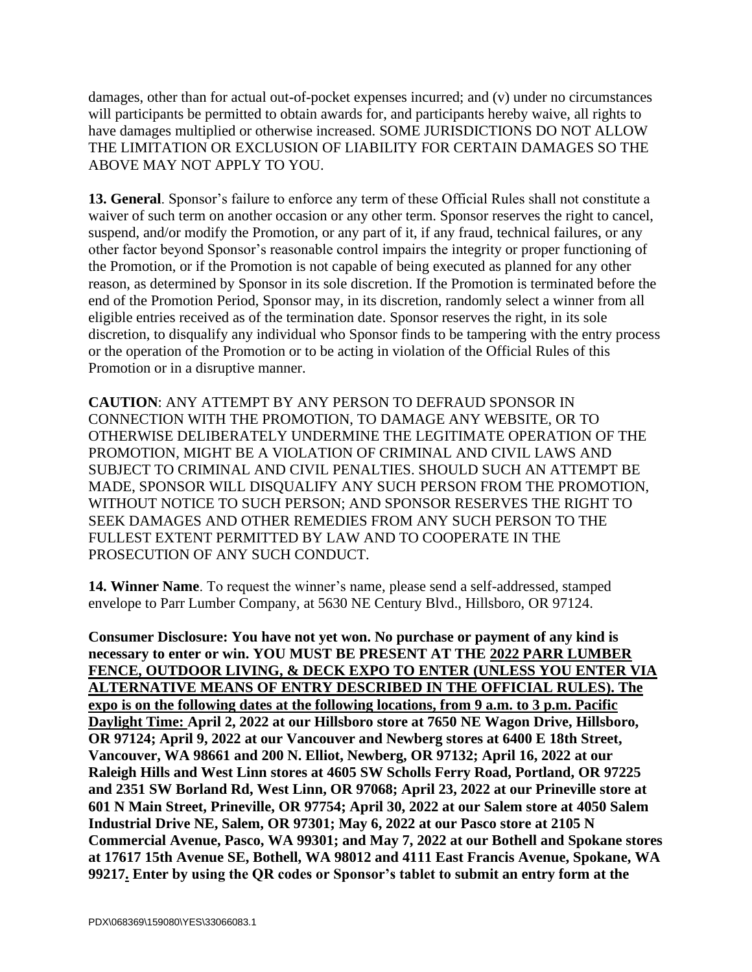damages, other than for actual out-of-pocket expenses incurred; and (v) under no circumstances will participants be permitted to obtain awards for, and participants hereby waive, all rights to have damages multiplied or otherwise increased. SOME JURISDICTIONS DO NOT ALLOW THE LIMITATION OR EXCLUSION OF LIABILITY FOR CERTAIN DAMAGES SO THE ABOVE MAY NOT APPLY TO YOU.

**13. General**. Sponsor's failure to enforce any term of these Official Rules shall not constitute a waiver of such term on another occasion or any other term. Sponsor reserves the right to cancel, suspend, and/or modify the Promotion, or any part of it, if any fraud, technical failures, or any other factor beyond Sponsor's reasonable control impairs the integrity or proper functioning of the Promotion, or if the Promotion is not capable of being executed as planned for any other reason, as determined by Sponsor in its sole discretion. If the Promotion is terminated before the end of the Promotion Period, Sponsor may, in its discretion, randomly select a winner from all eligible entries received as of the termination date. Sponsor reserves the right, in its sole discretion, to disqualify any individual who Sponsor finds to be tampering with the entry process or the operation of the Promotion or to be acting in violation of the Official Rules of this Promotion or in a disruptive manner.

**CAUTION**: ANY ATTEMPT BY ANY PERSON TO DEFRAUD SPONSOR IN CONNECTION WITH THE PROMOTION, TO DAMAGE ANY WEBSITE, OR TO OTHERWISE DELIBERATELY UNDERMINE THE LEGITIMATE OPERATION OF THE PROMOTION, MIGHT BE A VIOLATION OF CRIMINAL AND CIVIL LAWS AND SUBJECT TO CRIMINAL AND CIVIL PENALTIES. SHOULD SUCH AN ATTEMPT BE MADE, SPONSOR WILL DISQUALIFY ANY SUCH PERSON FROM THE PROMOTION, WITHOUT NOTICE TO SUCH PERSON; AND SPONSOR RESERVES THE RIGHT TO SEEK DAMAGES AND OTHER REMEDIES FROM ANY SUCH PERSON TO THE FULLEST EXTENT PERMITTED BY LAW AND TO COOPERATE IN THE PROSECUTION OF ANY SUCH CONDUCT.

**14. Winner Name**. To request the winner's name, please send a self-addressed, stamped envelope to Parr Lumber Company, at 5630 NE Century Blvd., Hillsboro, OR 97124.

**Consumer Disclosure: You have not yet won. No purchase or payment of any kind is necessary to enter or win. YOU MUST BE PRESENT AT THE 2022 PARR LUMBER FENCE, OUTDOOR LIVING, & DECK EXPO TO ENTER (UNLESS YOU ENTER VIA ALTERNATIVE MEANS OF ENTRY DESCRIBED IN THE OFFICIAL RULES). The expo is on the following dates at the following locations, from 9 a.m. to 3 p.m. Pacific Daylight Time: April 2, 2022 at our Hillsboro store at 7650 NE Wagon Drive, Hillsboro, OR 97124; April 9, 2022 at our Vancouver and Newberg stores at 6400 E 18th Street, Vancouver, WA 98661 and 200 N. Elliot, Newberg, OR 97132; April 16, 2022 at our Raleigh Hills and West Linn stores at 4605 SW Scholls Ferry Road, Portland, OR 97225 and 2351 SW Borland Rd, West Linn, OR 97068; April 23, 2022 at our Prineville store at 601 N Main Street, Prineville, OR 97754; April 30, 2022 at our Salem store at 4050 Salem Industrial Drive NE, Salem, OR 97301; May 6, 2022 at our Pasco store at 2105 N Commercial Avenue, Pasco, WA 99301; and May 7, 2022 at our Bothell and Spokane stores at 17617 15th Avenue SE, Bothell, WA 98012 and 4111 East Francis Avenue, Spokane, WA 99217. Enter by using the QR codes or Sponsor's tablet to submit an entry form at the**